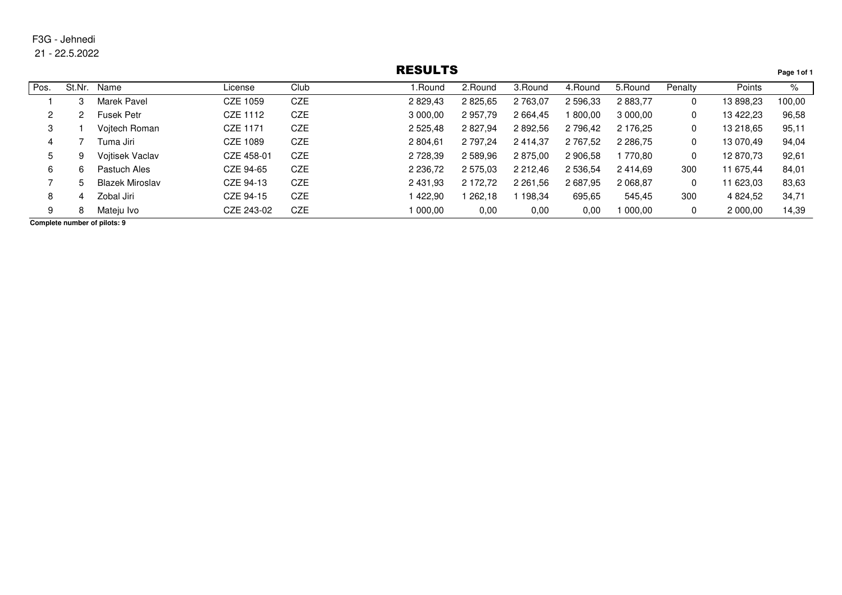21 - 22.5.2022

## RESULTS

 $\mathbf{I}$ 

|      |        |                        |            |            | REJULIJ     |          |          |          |            |         |           | Page 1 of 1 |
|------|--------|------------------------|------------|------------|-------------|----------|----------|----------|------------|---------|-----------|-------------|
| Pos. | St.Nr. | Name                   | License    | Club       | .Round      | 2.Round  | 3.Round  | 4. Round | 5.Round    | Penalty | Points    | %           |
|      |        | Marek Pavel            | CZE 1059   | CZE        | 2 829,43    | 2 825,65 | 2 763,07 | 2 596,33 | 2 883,77   | 0       | 13 898,23 | 100,00      |
| 2    |        | <b>Fusek Petr</b>      | CZE 1112   | CZE        | 3 000,00    | 2957,79  | 2 664,45 | 800,00   | 3 000,00   | 0       | 13 422,23 | 96,58       |
| 3    |        | Voitech Roman          | CZE 1171   | <b>CZE</b> | 2 525,48    | 2 827,94 | 2 892,56 | 2 796,42 | 2 176,25   | 0       | 13 218,65 | 95,11       |
| 4    |        | Tuma Jiri l            | CZE 1089   | CZE        | 2 804.61    | 2 797.24 | 2 414.37 | 2 767.52 | 2 2 8 6.75 | 0       | 13 070.49 | 94,04       |
| 5    | 9      | <b>Voitisek Vaclav</b> | CZE 458-01 | CZE        | 2 728,39    | 2 589,96 | 2 875,00 | 2 906,58 | 770.80     | 0       | 12870.73  | 92,61       |
| 6    | 6      | Pastuch Ales           | CZE 94-65  | CZE        | 2 2 3 6 7 2 | 2 575,03 | 2 212.46 | 2 536,54 | 2414.69    | 300     | 11 675.44 | 84,01       |
|      | 5      | Blazek Miroslav        | CZE 94-13  | <b>CZE</b> | 2 431,93    | 2 172,72 | 2 261,56 | 2 687,95 | 2 068,87   | 0       | 11 623,03 | 83,63       |
| 8    | 4      | Zobal Jiri             | CZE 94-15  | CZE        | 422.90      | 262.18   | 198.34   | 695,65   | 545,45     | 300     | 4 824.52  | 34,71       |
| 9    | 8      | Mateju Ivo             | CZE 243-02 | CZE        | 1 000.00    | 0,00     | 0,00     | 0,00     | 000.00     | 0       | 2 000,00  | 14,39       |
|      |        |                        |            |            |             |          |          |          |            |         |           |             |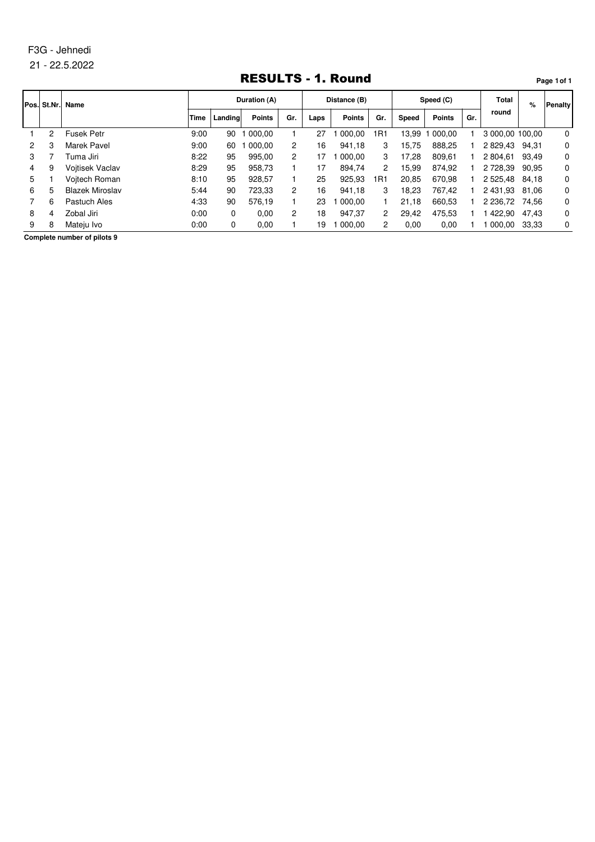#### 21 - 22.5.2022

## RESULTS - 1. Round

**Page 1of 1**

|   | Pos. St.Nr. | Name                   | Duration (A) |         |               | Distance (B)          |      |               | Speed (C)      |       |               | <b>Total</b> | %               | <b>Penalty</b> |          |
|---|-------------|------------------------|--------------|---------|---------------|-----------------------|------|---------------|----------------|-------|---------------|--------------|-----------------|----------------|----------|
|   |             |                        | Time         | Landing | <b>Points</b> | Gr.                   | Laps | <b>Points</b> | Gr.            | Speed | <b>Points</b> | Gr.          | round           |                |          |
|   | 2           | <b>Fusek Petr</b>      | 9:00         | 90      | 000.00        |                       | 27   | 000.00        | 1R1            | 13.99 | 000.00        |              | 3 000,00 100,00 |                | 0        |
|   | 3           | <b>Marek Pavel</b>     | 9:00         | 60      | 000.00        | $\mathbf{2}^{\prime}$ | 16   | 941.18        | 3              | 15.75 | 888.25        |              | 2 829.43        | 94.31          | 0        |
| З |             | Tuma Jiri              | 8:22         | 95      | 995.00        | $\overline{2}$        | 17   | 000.00        | 3              | 17.28 | 809.61        |              | 2 804.61        | 93.49          | 0        |
| 4 | 9           | <b>Voitisek Vaclav</b> | 8:29         | 95      | 958.73        |                       | 17   | 894.74        | $\overline{2}$ | 15.99 | 874.92        |              | 2 728.39        | 90.95          | 0        |
| 5 |             | Voitech Roman          | 8:10         | 95      | 928.57        |                       | 25   | 925,93        | 1R1            | 20.85 | 670.98        |              | 2 5 2 5 . 4 8   | 84.18          | 0        |
| 6 | 5           | <b>Blazek Miroslav</b> | 5:44         | 90      | 723.33        | 2                     | 16   | 941.18        | 3              | 18.23 | 767.42        |              | 2 431.93        | 81.06          | 0        |
|   | 6           | Pastuch Ales           | 4:33         | 90      | 576.19        |                       | 23   | 000.00        |                | 21.18 | 660.53        |              | 2 2 3 6.72      | 74.56          | 0        |
| 8 | 4           | Zobal Jiri             | 0:00         | 0       | 0,00          | 2                     | 18   | 947.37        | 2              | 29.42 | 475.53        |              | 422.90          | 47.43          | 0        |
| 9 | 8           | Mateiu Ivo             | 0:00         | 0       | 0.00          |                       | 19   | 000.00        | 2              | 0.00  | 0.00          |              | 1 000.00        | 33.33          | $\Omega$ |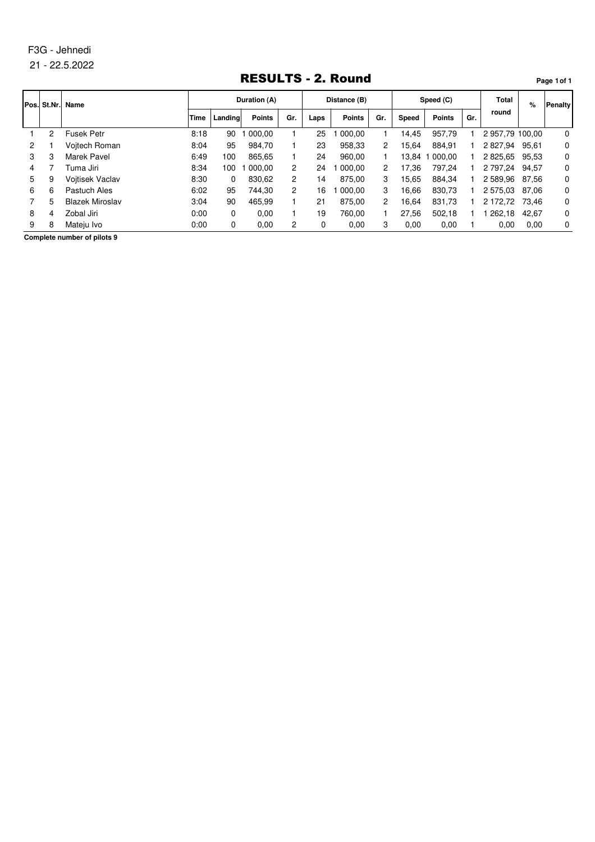#### 21 - 22.5.2022

## RESULTS - 2. Round

**Pos. St.Nr. Name Time Landing Points Laps Points Speed Points % Duration (A) Distance (B) Speed (C) Total round Penalty Points** Gr. Speed Points Gr. 1 2 Fusek Petr 8:18 90 1 000,00 1 25 1 000,00 1 14,45 957,79 1 2 957,79 100,00 0 2 1 Vojtech Roman 8:04 95 984,70 1 23 958,33 2 15,64 884,91 1 2 827,94 95,61 0 3 3 Marek Pavel 6:49 100 865,65 1 24 960,00 1 13,84 1 000,00 1 2 825,65 95,53 0 4 7 Tuma Jiri 8:34 100 1 000,00 2 24 1 000,00 2 17,36 797,24 1 2 797,24 94,57 0 5 9 Vojtisek Vaclav 8:30 0 830,62 2 14 875,00 3 15,65 884,34 1 2 589,96 87,56 0 6 6 Pastuch Ales 6:02 95 744,30 2 16 1 000,00 3 16,66 830,73 1 2 575,03 87,06 0 7 5 Blazek Miroslav 3:04 90 465,99 1 21 875,00 2 16,64 831,73 1 2 172,72 73,46 0 8 4 Zobal Jiri 0:00 0 0,00 1 19 760,00 1 27,56 502,18 1 1 262,18 42,67 0 9 8 Mateju Ivo 0:00 0 0,00 2 0 0,00 3 0,00 0,00 1 0,00 0,00 0

**Complete number of pilots 9**

#### **Page 1of 1**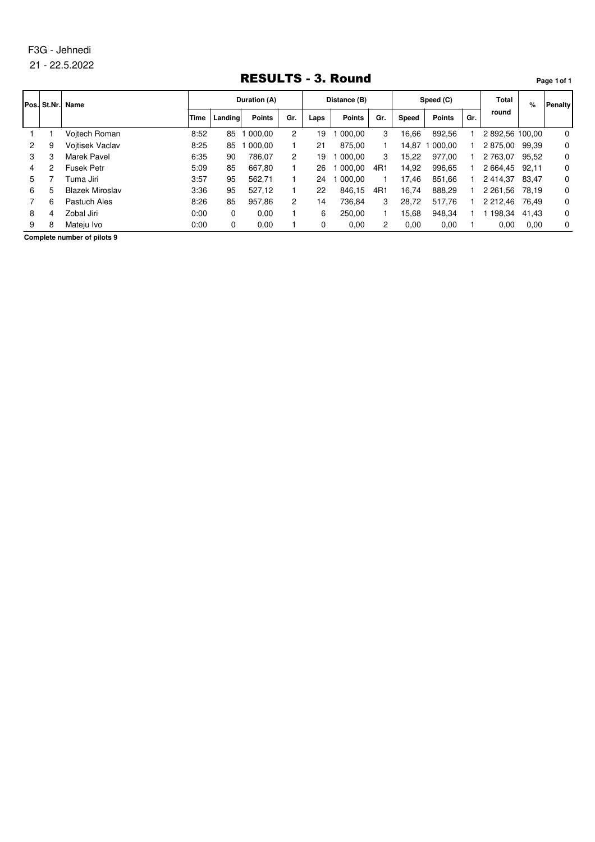#### 21 - 22.5.2022

## RESULTS - 3. Round

**Pos. St.Nr. Name Time Landing Points Laps Points Speed Points % Duration (A) Distance (B) Speed (C) Total round Penalty Points** Gr. Speed Points Gr. 1 1 Vojtech Roman 8:52 85 1 000,00 2 19 1 000,00 3 16,66 892,56 1 2 892,56 100,00 0 2 9 Vojtisek Vaclav 8:25 85 1 000,00 1 21 875,00 1 14,87 1 000,00 1 2 875,00 99,39 0 3 3 Marek Pavel 6:35 90 786,07 2 19 1 000,00 3 15,22 977,00 1 2 763,07 95,52 0 4 2 Fusek Petr 5:09 85 667,80 1 26 1 000,00 4R1 14,92 996,65 1 2 664,45 92,11 0 5 7 Tuma Jiri 3:57 95 562,71 1 24 1 000,00 1 17,46 851,66 1 2 414,37 83,47 0 6 5 Blazek Miroslav 3:36 95 527,12 1 22 846,15 4R1 16,74 888,29 1 2 261,56 78,19 0 7 6 Pastuch Ales 8:26 85 957,86 2 14 736,84 3 28,72 517,76 1 2 212,46 76,49 0 8 4 Zobal Jiri 0:00 0 0,00 1 6 250,00 1 15,68 948,34 1 1 198,34 41,43 0 9 8 Mateju Ivo 0:00 0 0,00 1 0 0,00 2 0,00 0,00 1 0,00 0,00 0

**Complete number of pilots 9**

#### **Page 1of 1**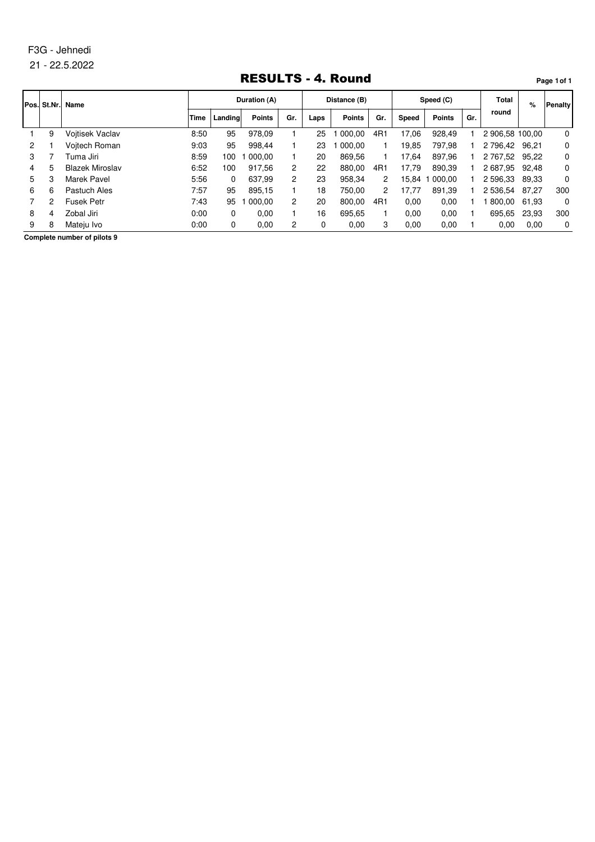#### 21 - 22.5.2022

## RESULTS - 4. Round

**Pos. St.Nr. Name Time Landing Points Laps Points Speed Points % Duration (A) Distance (B) Speed (C) Total round Penalty Points** Gr. Speed Points Gr. 1 9 Vojtisek Vaclav 8:50 95 978,09 1 25 1 000,00 4R1 17,06 928,49 1 2 906,58 100,00 0 2 1 Vojtech Roman 9:03 95 998,44 1 23 1 000,00 1 19,85 797,98 1 2 796,42 96,21 0 3 7 Tuma Jiri 8:59 100 1 000,00 1 20 869,56 1 17,64 897,96 1 2 767,52 95,22 0 4 5 Blazek Miroslav 6:52 100 917,56 2 22 880,00 4R1 17,79 890,39 1 2 687,95 92,48 0 5 3 Marek Pavel 5:56 0 637,99 2 23 958,34 2 15,84 1 000,00 1 2 596,33 89,33 0 6 6 Pastuch Ales 7:57 95 895,15 1 18 750,00 2 17,77 891,39 1 2 536,54 87,27 300 7 2 Fusek Petr 7:43 95 1 000,00 2 20 800,00 4R1 0,00 0,00 1 1 800,00 61,93 0 8 4 Zobal Jiri 0:00 0 0,00 1 16 695,65 1 0,00 0,00 1 695,65 23,93 300 9 8 Mateju Ivo 0:00 0 0,00 2 0 0,00 3 0,00 0,00 1 0,00 0,00 0

**Complete number of pilots 9**

#### **Page 1of 1**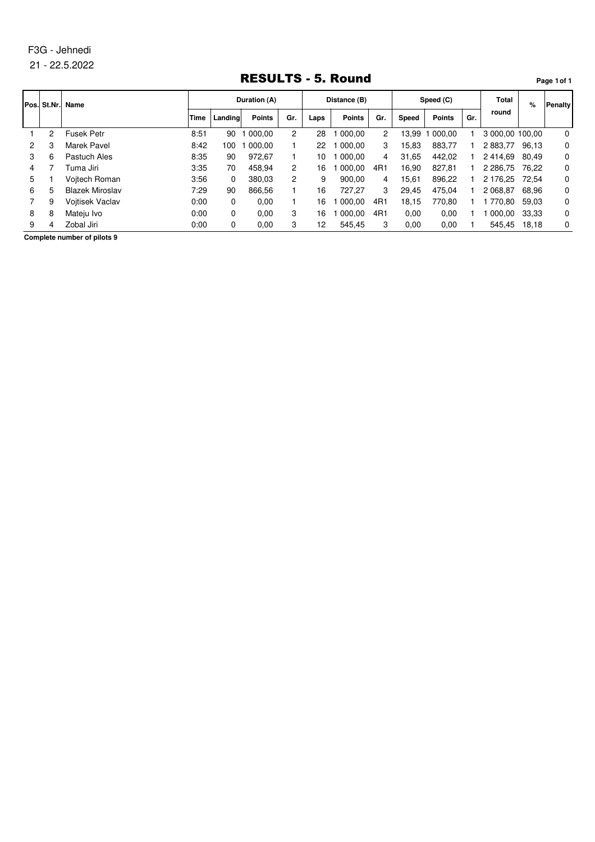#### 21 - 22.5.2022

## RESULTS - 5. Round

**Page 1of 1**

**Pos. St.Nr. Name Time Landing Points Laps Points Speed Points % Duration (A) Distance (B) Speed (C) Total round Penalty Points** Gr. Speed Points Gr. 1 2 Fusek Petr 8:51 90 1 000,00 2 28 1 000,00 2 13,99 1 000,00 1 3 000,00 100,00 0 2 3 Marek Pavel 8:42 100 1 000,00 1 22 1 000,00 3 15,83 883,77 1 2 883,77 96,13 0 3 6 Pastuch Ales 8:35 90 972,67 1 10 1 000,00 4 31,65 442,02 1 2 414,69 80,49 0 4 7 Tuma Jiri 3:35 70 458,94 2 16 1 000,00 4R1 16,90 827,81 1 2 286,75 76,22 0 5 1 Vojtech Roman 3:56 0 380,03 2 9 900,00 4 15,61 896,22 1 2 176,25 72,54 0 6 5 Blazek Miroslav 7:29 90 866,56 1 16 727,27 3 29,45 475,04 1 2 068,87 68,96 0 7 9 Vojtisek Vaclav 0:00 0 0,00 1 16 1 000,00 4R1 18,15 770,80 1 1 770,80 59,03 0 8 8 Mateju Ivo 0:00 0 0,00 3 16 1 000,00 4R1 0,00 0,00 1 1 000,00 33,33 0 9 4 Zobal Jiri 0:00 0 0,00 3 12 545,45 3 0,00 0,00 1 545,45 18,18 0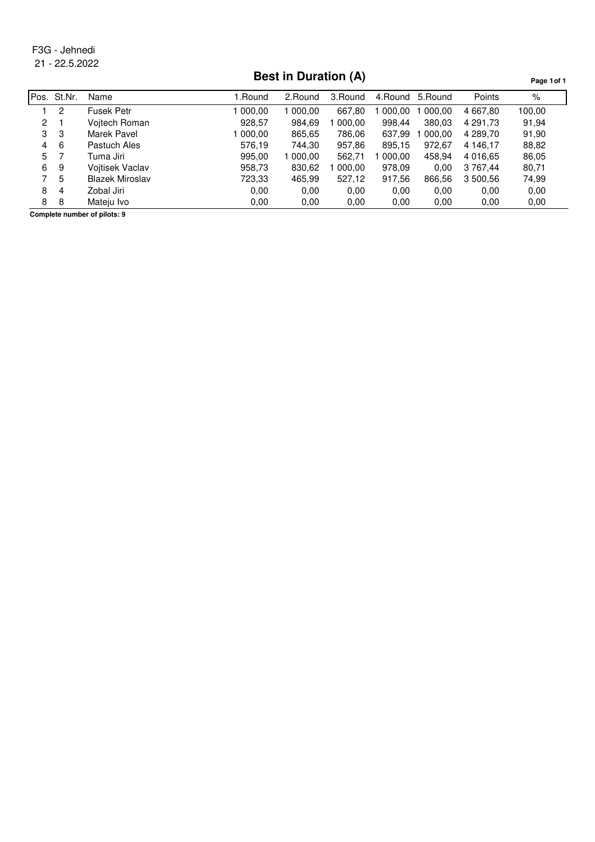# **Best in Duration (A)**

**Page 1of 1**

|    | Pos. St.Nr. | Name                   | l.Round | 2.Round | 3.Round | 4. Round | 5. Round | Points   | %      |
|----|-------------|------------------------|---------|---------|---------|----------|----------|----------|--------|
|    | 2           | Fusek Petr             | 000.00  | 000.00  | 667.80  | 000.00   | 000.00   | 4 667.80 | 100.00 |
| 2  |             | Voitech Roman          | 928,57  | 984,69  | 000,00  | 998,44   | 380,03   | 4 291.73 | 91,94  |
| 3  | 3           | Marek Pavel            | 000.00  | 865,65  | 786,06  | 637,99   | 000.00   | 4 289.70 | 91,90  |
| 4  | -6          | Pastuch Ales           | 576,19  | 744.30  | 957,86  | 895,15   | 972.67   | 4 146.17 | 88,82  |
| 5. |             | Tuma Jiri              | 995,00  | 000.00  | 562.71  | 000.00   | 458,94   | 4 016.65 | 86,05  |
| 6  | 9           | Voitisek Vaclav        | 958,73  | 830,62  | 000.00  | 978,09   | 0.00     | 3 767.44 | 80,71  |
|    | 5           | <b>Blazek Miroslav</b> | 723,33  | 465,99  | 527,12  | 917,56   | 866,56   | 3 500,56 | 74,99  |
| 8  | 4           | Zobal Jiri             | 0.00    | 0.00    | 0.00    | 0.00     | 0.00     | 0.00     | 0.00   |
| 8  | 8           | Mateju Ivo             | 0.00    | 0.00    | 0.00    | 0,00     | 0.00     | 0,00     | 0,00   |
|    |             |                        |         |         |         |          |          |          |        |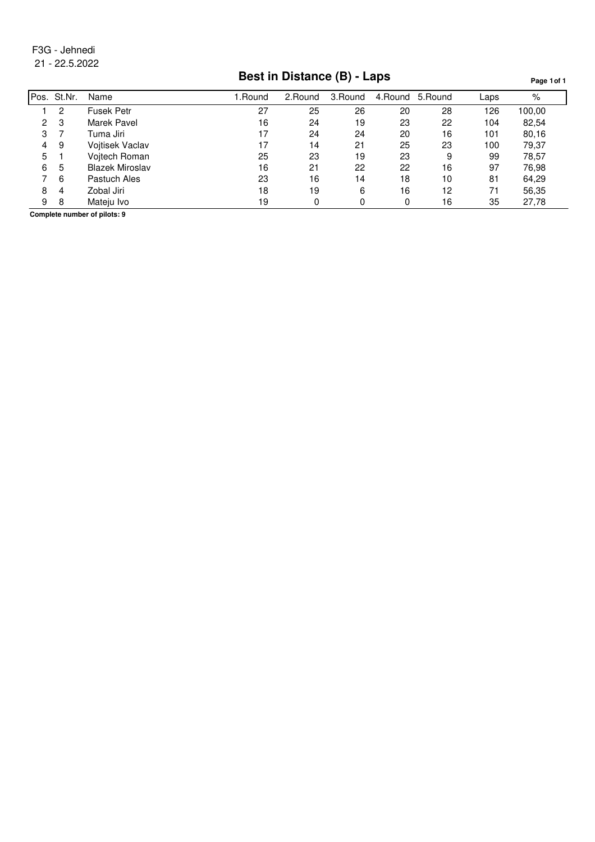# **Best in Distance (B) - Laps**

**Page 1of 1**

| Pos. | St.Nr. | Name                   | 1.Round | 2.Round | 3.Round | 4. Round | 5.Round | Laps | %      |
|------|--------|------------------------|---------|---------|---------|----------|---------|------|--------|
|      | 2      | <b>Fusek Petr</b>      | 27      | 25      | 26      | 20       | 28      | 126  | 100,00 |
| 2    | 3      | Marek Pavel            | 16      | 24      | 19      | 23       | 22      | 104  | 82,54  |
| 3    |        | Tuma Jiri              | 17      | 24      | 24      | 20       | 16      | 101  | 80,16  |
| 4    | 9      | <b>Voitisek Vaclav</b> | 17      | 14      | 21      | 25       | 23      | 100  | 79,37  |
| 5    |        | Vojtech Roman          | 25      | 23      | 19      | 23       | 9       | 99   | 78,57  |
| 6    | 5      | <b>Blazek Miroslav</b> | 16      | 21      | 22      | 22       | 16      | 97   | 76,98  |
|      | 6      | Pastuch Ales           | 23      | 16      | 14      | 18       | 10      | 81   | 64,29  |
| 8    | 4      | Zobal Jiri             | 18      | 19      | 6       | 16       | 12      | 71   | 56,35  |
| 9    | 8      | Mateju Ivo             | 19      |         | 0       | 0        | 16      | 35   | 27,78  |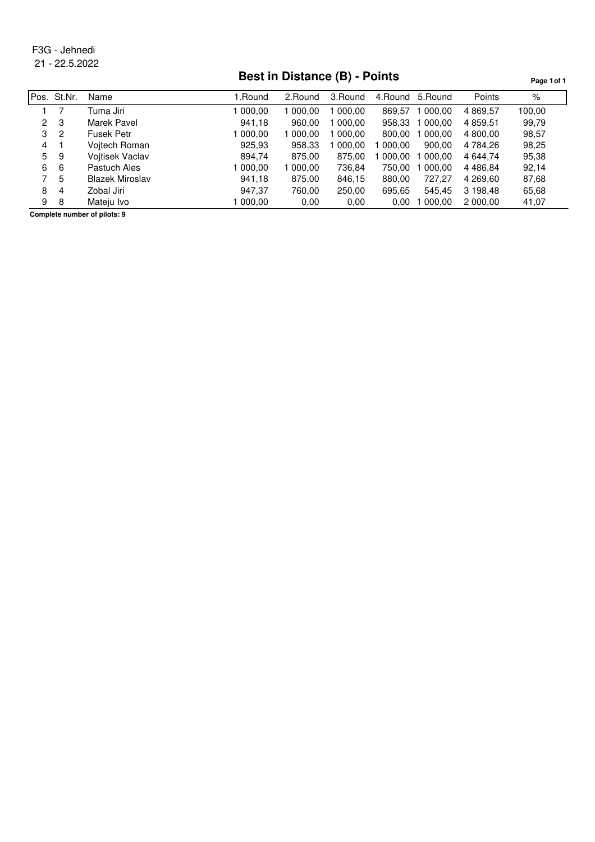# **Best in Distance (B) - Points**

**Page 1of 1**

|                | Pos. St.Nr. | Name            | l .Round | 2.Round | 3.Round | 4.Round | 5. Round | Points        | %      |
|----------------|-------------|-----------------|----------|---------|---------|---------|----------|---------------|--------|
|                |             | Tuma Jiri       | 000.00   | 000.00  | 000.00  | 869.57  | 000.00   | 4 869.57      | 100.00 |
| $\overline{2}$ | 3           | Marek Pavel     | 941,18   | 960,00  | 000,00  | 958,33  | 000,00   | 4 859,51      | 99,79  |
| 3              | 2           | Fusek Petr      | 000.00   | 000.00  | 000.00  | 800.00  | 000.00   | 4 800.00      | 98,57  |
| 4              |             | Voitech Roman   | 925,93   | 958,33  | 000,00  | 000.00  | 900.00   | 4 784.26      | 98,25  |
| 5              | 9           | Voitisek Vaclav | 894,74   | 875,00  | 875,00  | 000.00  | 000,00   | 4 644.74      | 95,38  |
| 6              | 6           | Pastuch Ales    | 000.00   | 000,00  | 736,84  | 750.00  | 000.00   | 4 4 8 6 . 8 4 | 92,14  |
|                | 5           | Blazek Miroslav | 941,18   | 875,00  | 846,15  | 880,00  | 727.27   | 4 269.60      | 87,68  |
| 8              | 4           | Zobal Jiri      | 947,37   | 760,00  | 250,00  | 695,65  | 545,45   | 3 198,48      | 65,68  |
| 9              | 8           | Mateju Ivo      | 000.00   | 0.00    | 0.00    | 0.00    | 000,00   | 2 000,00      | 41,07  |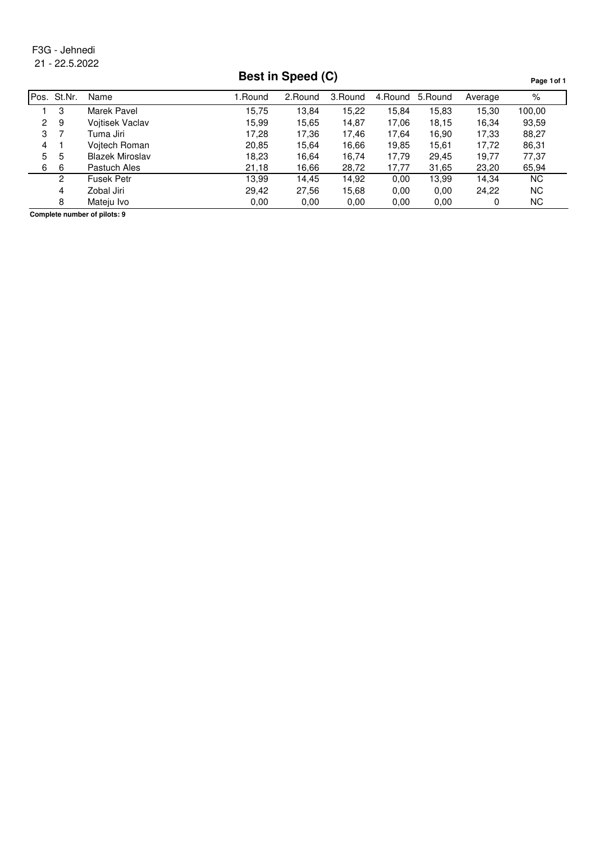## **Best in Speed (C)**

**Page 1of 1**

Pos. St.Nr. Name **1.Round 2.Round 3.Round 4.Round 5.Round Average** % 3 Marek Pavel 15,75 13,84 15,22 15,84 15,83 15,30 100,00 9 Vojtisek Vaclav 15,99 15,65 14,87 17,06 18,15 16,34 93,59 7 Tuma Jiri 17,28 17,36 17,46 17,64 16,90 17,33 88,27 1 Vojtech Roman 20,85 15,64 16,66 19,85 15,61 17,72 86,31 5 Blazek Miroslav 18,23 16,64 16,74 17,79 29,45 19,77 77,37 6 Pastuch Ales 21,18 16,66 28,72 17,77 31,65 23,20 65,94 Fusek Petr 13,99 14,45 14,92 0,00 13,99 14,34 NC Zobal Jiri 29,42 27,56 15,68 0,00 0,00 24,22 NC Mateju Ivo 0,00 0,00 0,00 0,00 0,00 0 NC